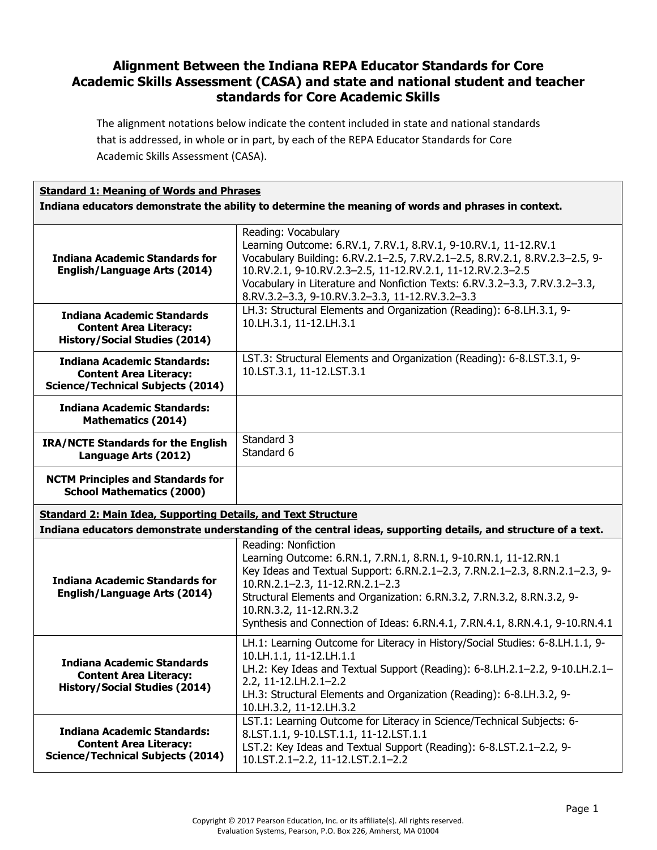The alignment notations below indicate the content included in state and national standards that is addressed, in whole or in part, by each of the REPA Educator Standards for Core Academic Skills Assessment (CASA).

#### **Standard 1: Meaning of Words and Phrases Indiana educators demonstrate the ability to determine the meaning of words and phrases in context.**

| <b>Indiana Academic Standards for</b><br><b>English/Language Arts (2014)</b>                                    | Reading: Vocabulary<br>Learning Outcome: 6.RV.1, 7.RV.1, 8.RV.1, 9-10.RV.1, 11-12.RV.1<br>Vocabulary Building: 6.RV.2.1-2.5, 7.RV.2.1-2.5, 8.RV.2.1, 8.RV.2.3-2.5, 9-<br>10.RV.2.1, 9-10.RV.2.3-2.5, 11-12.RV.2.1, 11-12.RV.2.3-2.5<br>Vocabulary in Literature and Nonfiction Texts: 6.RV.3.2-3.3, 7.RV.3.2-3.3,<br>8.RV.3.2-3.3, 9-10.RV.3.2-3.3, 11-12.RV.3.2-3.3                          |
|-----------------------------------------------------------------------------------------------------------------|-----------------------------------------------------------------------------------------------------------------------------------------------------------------------------------------------------------------------------------------------------------------------------------------------------------------------------------------------------------------------------------------------|
| <b>Indiana Academic Standards</b><br><b>Content Area Literacy:</b><br><b>History/Social Studies (2014)</b>      | LH.3: Structural Elements and Organization (Reading): 6-8.LH.3.1, 9-<br>10.LH.3.1, 11-12.LH.3.1                                                                                                                                                                                                                                                                                               |
| <b>Indiana Academic Standards:</b><br><b>Content Area Literacy:</b><br><b>Science/Technical Subjects (2014)</b> | LST.3: Structural Elements and Organization (Reading): 6-8.LST.3.1, 9-<br>10.LST.3.1, 11-12.LST.3.1                                                                                                                                                                                                                                                                                           |
| <b>Indiana Academic Standards:</b><br><b>Mathematics (2014)</b>                                                 |                                                                                                                                                                                                                                                                                                                                                                                               |
| <b>IRA/NCTE Standards for the English</b><br>Language Arts (2012)                                               | Standard 3<br>Standard 6                                                                                                                                                                                                                                                                                                                                                                      |
| <b>NCTM Principles and Standards for</b><br><b>School Mathematics (2000)</b>                                    |                                                                                                                                                                                                                                                                                                                                                                                               |
| <b>Standard 2: Main Idea, Supporting Details, and Text Structure</b>                                            |                                                                                                                                                                                                                                                                                                                                                                                               |
|                                                                                                                 | Indiana educators demonstrate understanding of the central ideas, supporting details, and structure of a text.                                                                                                                                                                                                                                                                                |
| <b>Indiana Academic Standards for</b><br><b>English/Language Arts (2014)</b>                                    | Reading: Nonfiction<br>Learning Outcome: 6.RN.1, 7.RN.1, 8.RN.1, 9-10.RN.1, 11-12.RN.1<br>Key Ideas and Textual Support: 6.RN.2.1-2.3, 7.RN.2.1-2.3, 8.RN.2.1-2.3, 9-<br>10.RN.2.1-2.3, 11-12.RN.2.1-2.3<br>Structural Elements and Organization: 6.RN.3.2, 7.RN.3.2, 8.RN.3.2, 9-<br>10.RN.3.2, 11-12.RN.3.2<br>Synthesis and Connection of Ideas: 6.RN.4.1, 7.RN.4.1, 8.RN.4.1, 9-10.RN.4.1 |
| <b>Indiana Academic Standards</b><br><b>Content Area Literacy:</b><br><b>History/Social Studies (2014)</b>      | LH.1: Learning Outcome for Literacy in History/Social Studies: 6-8.LH.1.1, 9-<br>10.LH.1.1, 11-12.LH.1.1<br>LH.2: Key Ideas and Textual Support (Reading): 6-8.LH.2.1-2.2, 9-10.LH.2.1-<br>2.2, 11-12.LH.2.1-2.2<br>LH.3: Structural Elements and Organization (Reading): 6-8.LH.3.2, 9-<br>10.LH.3.2, 11-12.LH.3.2                                                                           |
| <b>Indiana Academic Standards:</b><br><b>Content Area Literacy:</b><br><b>Science/Technical Subjects (2014)</b> | LST.1: Learning Outcome for Literacy in Science/Technical Subjects: 6-<br>8.LST.1.1, 9-10.LST.1.1, 11-12.LST.1.1<br>LST.2: Key Ideas and Textual Support (Reading): 6-8.LST.2.1-2.2, 9-<br>10.LST.2.1-2.2, 11-12.LST.2.1-2.2                                                                                                                                                                  |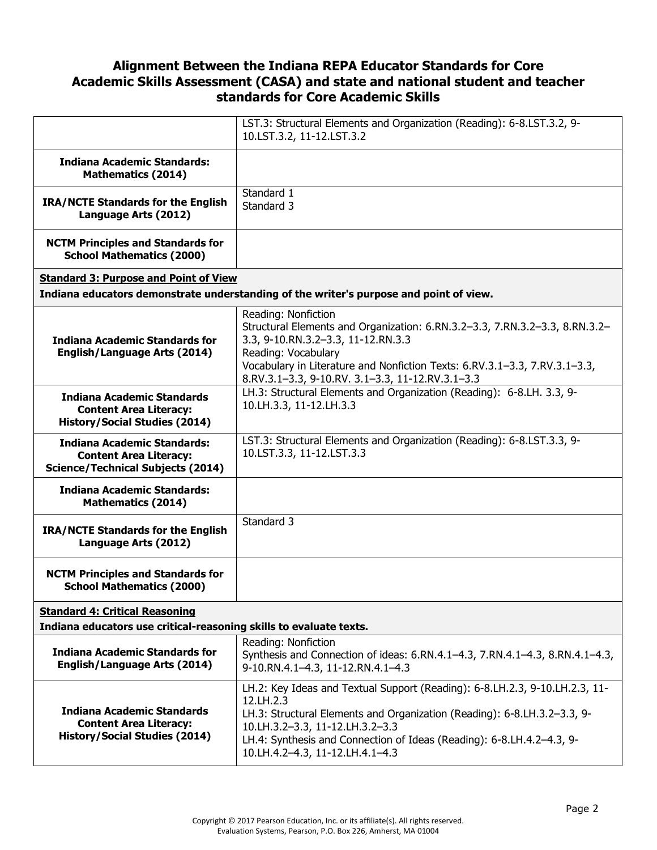|                                                                                                                                        | LST.3: Structural Elements and Organization (Reading): 6-8.LST.3.2, 9-<br>10.LST.3.2, 11-12.LST.3.2                                                                                                                                                                                                                 |
|----------------------------------------------------------------------------------------------------------------------------------------|---------------------------------------------------------------------------------------------------------------------------------------------------------------------------------------------------------------------------------------------------------------------------------------------------------------------|
| <b>Indiana Academic Standards:</b><br><b>Mathematics (2014)</b>                                                                        |                                                                                                                                                                                                                                                                                                                     |
| <b>IRA/NCTE Standards for the English</b><br>Language Arts (2012)                                                                      | Standard 1<br>Standard 3                                                                                                                                                                                                                                                                                            |
| <b>NCTM Principles and Standards for</b><br><b>School Mathematics (2000)</b>                                                           |                                                                                                                                                                                                                                                                                                                     |
| <b>Standard 3: Purpose and Point of View</b><br>Indiana educators demonstrate understanding of the writer's purpose and point of view. |                                                                                                                                                                                                                                                                                                                     |
| <b>Indiana Academic Standards for</b><br><b>English/Language Arts (2014)</b>                                                           | Reading: Nonfiction<br>Structural Elements and Organization: 6.RN.3.2-3.3, 7.RN.3.2-3.3, 8.RN.3.2-<br>3.3, 9-10.RN.3.2-3.3, 11-12.RN.3.3<br>Reading: Vocabulary<br>Vocabulary in Literature and Nonfiction Texts: 6.RV.3.1-3.3, 7.RV.3.1-3.3,<br>8.RV.3.1-3.3, 9-10.RV. 3.1-3.3, 11-12.RV.3.1-3.3                   |
| <b>Indiana Academic Standards</b><br><b>Content Area Literacy:</b><br><b>History/Social Studies (2014)</b>                             | LH.3: Structural Elements and Organization (Reading): 6-8.LH. 3.3, 9-<br>10.LH.3.3, 11-12.LH.3.3                                                                                                                                                                                                                    |
| <b>Indiana Academic Standards:</b><br><b>Content Area Literacy:</b><br><b>Science/Technical Subjects (2014)</b>                        | LST.3: Structural Elements and Organization (Reading): 6-8.LST.3.3, 9-<br>10.LST.3.3, 11-12.LST.3.3                                                                                                                                                                                                                 |
| <b>Indiana Academic Standards:</b><br><b>Mathematics (2014)</b>                                                                        |                                                                                                                                                                                                                                                                                                                     |
| <b>IRA/NCTE Standards for the English</b><br>Language Arts (2012)                                                                      | Standard 3                                                                                                                                                                                                                                                                                                          |
| <b>NCTM Principles and Standards for</b><br><b>School Mathematics (2000)</b>                                                           |                                                                                                                                                                                                                                                                                                                     |
| <b>Standard 4: Critical Reasoning</b><br>Indiana educators use critical-reasoning skills to evaluate texts.                            |                                                                                                                                                                                                                                                                                                                     |
| <b>Indiana Academic Standards for</b><br><b>English/Language Arts (2014)</b>                                                           | Reading: Nonfiction<br>Synthesis and Connection of ideas: 6.RN.4.1-4.3, 7.RN.4.1-4.3, 8.RN.4.1-4.3,<br>9-10.RN.4.1-4.3, 11-12.RN.4.1-4.3                                                                                                                                                                            |
| <b>Indiana Academic Standards</b><br><b>Content Area Literacy:</b><br><b>History/Social Studies (2014)</b>                             | LH.2: Key Ideas and Textual Support (Reading): 6-8.LH.2.3, 9-10.LH.2.3, 11-<br>12.LH.2.3<br>LH.3: Structural Elements and Organization (Reading): 6-8.LH.3.2-3.3, 9-<br>10.LH.3.2-3.3, 11-12.LH.3.2-3.3<br>LH.4: Synthesis and Connection of Ideas (Reading): 6-8.LH.4.2-4.3, 9-<br>10.LH.4.2-4.3, 11-12.LH.4.1-4.3 |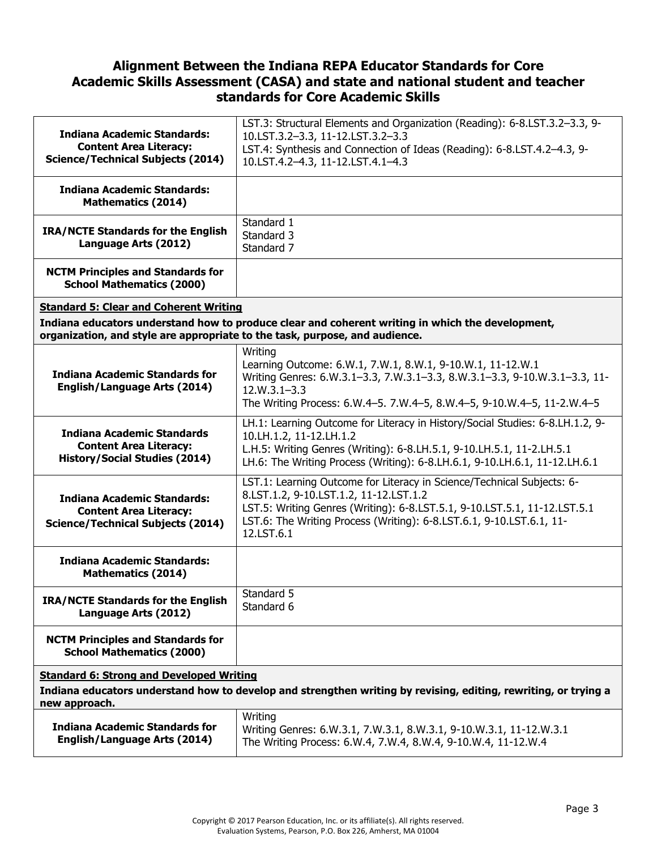| <b>Indiana Academic Standards:</b><br><b>Content Area Literacy:</b><br><b>Science/Technical Subjects (2014)</b>                                                                 | LST.3: Structural Elements and Organization (Reading): 6-8.LST.3.2-3.3, 9-<br>10.LST.3.2-3.3, 11-12.LST.3.2-3.3<br>LST.4: Synthesis and Connection of Ideas (Reading): 6-8.LST.4.2-4.3, 9-<br>10.LST.4.2-4.3, 11-12.LST.4.1-4.3                                                     |
|---------------------------------------------------------------------------------------------------------------------------------------------------------------------------------|-------------------------------------------------------------------------------------------------------------------------------------------------------------------------------------------------------------------------------------------------------------------------------------|
| <b>Indiana Academic Standards:</b><br><b>Mathematics (2014)</b>                                                                                                                 |                                                                                                                                                                                                                                                                                     |
| <b>IRA/NCTE Standards for the English</b><br>Language Arts (2012)                                                                                                               | Standard 1<br>Standard 3<br>Standard 7                                                                                                                                                                                                                                              |
| <b>NCTM Principles and Standards for</b><br><b>School Mathematics (2000)</b>                                                                                                    |                                                                                                                                                                                                                                                                                     |
| <b>Standard 5: Clear and Coherent Writing</b>                                                                                                                                   |                                                                                                                                                                                                                                                                                     |
| Indiana educators understand how to produce clear and coherent writing in which the development,<br>organization, and style are appropriate to the task, purpose, and audience. |                                                                                                                                                                                                                                                                                     |
| <b>Indiana Academic Standards for</b><br><b>English/Language Arts (2014)</b>                                                                                                    | Writing<br>Learning Outcome: 6.W.1, 7.W.1, 8.W.1, 9-10.W.1, 11-12.W.1<br>Writing Genres: 6.W.3.1-3.3, 7.W.3.1-3.3, 8.W.3.1-3.3, 9-10.W.3.1-3.3, 11-<br>$12.W.3.1 - 3.3$<br>The Writing Process: 6.W.4-5. 7.W.4-5, 8.W.4-5, 9-10.W.4-5, 11-2.W.4-5                                   |
| <b>Indiana Academic Standards</b><br><b>Content Area Literacy:</b><br><b>History/Social Studies (2014)</b>                                                                      | LH.1: Learning Outcome for Literacy in History/Social Studies: 6-8.LH.1.2, 9-<br>10.LH.1.2, 11-12.LH.1.2<br>L.H.5: Writing Genres (Writing): 6-8.LH.5.1, 9-10.LH.5.1, 11-2.LH.5.1<br>LH.6: The Writing Process (Writing): 6-8.LH.6.1, 9-10.LH.6.1, 11-12.LH.6.1                     |
| <b>Indiana Academic Standards:</b><br><b>Content Area Literacy:</b><br><b>Science/Technical Subjects (2014)</b>                                                                 | LST.1: Learning Outcome for Literacy in Science/Technical Subjects: 6-<br>8.LST.1.2, 9-10.LST.1.2, 11-12.LST.1.2<br>LST.5: Writing Genres (Writing): 6-8.LST.5.1, 9-10.LST.5.1, 11-12.LST.5.1<br>LST.6: The Writing Process (Writing): 6-8.LST.6.1, 9-10.LST.6.1, 11-<br>12.LST.6.1 |
| <b>Indiana Academic Standards:</b><br><b>Mathematics (2014)</b>                                                                                                                 |                                                                                                                                                                                                                                                                                     |
| <b>IRA/NCTE Standards for the English</b><br>Language Arts (2012)                                                                                                               | Standard 5<br>Standard 6                                                                                                                                                                                                                                                            |
| <b>NCTM Principles and Standards for</b><br><b>School Mathematics (2000)</b>                                                                                                    |                                                                                                                                                                                                                                                                                     |
| <b>Standard 6: Strong and Developed Writing</b>                                                                                                                                 |                                                                                                                                                                                                                                                                                     |
| Indiana educators understand how to develop and strengthen writing by revising, editing, rewriting, or trying a<br>new approach.                                                |                                                                                                                                                                                                                                                                                     |
| <b>Indiana Academic Standards for</b><br><b>English/Language Arts (2014)</b>                                                                                                    | Writing<br>Writing Genres: 6.W.3.1, 7.W.3.1, 8.W.3.1, 9-10.W.3.1, 11-12.W.3.1<br>The Writing Process: 6.W.4, 7.W.4, 8.W.4, 9-10.W.4, 11-12.W.4                                                                                                                                      |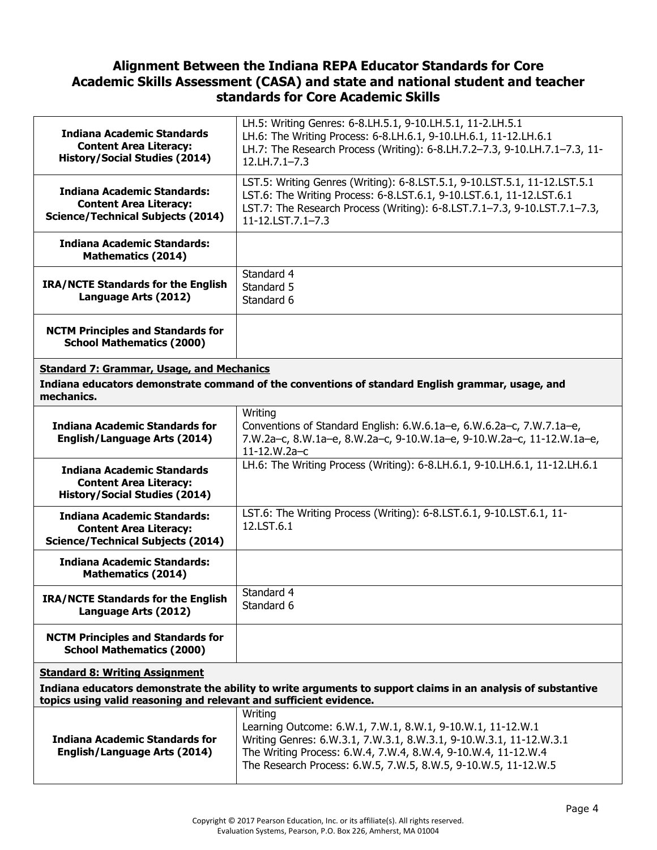| <b>Indiana Academic Standards</b><br><b>Content Area Literacy:</b><br><b>History/Social Studies (2014)</b>                                                         | LH.5: Writing Genres: 6-8.LH.5.1, 9-10.LH.5.1, 11-2.LH.5.1<br>LH.6: The Writing Process: 6-8.LH.6.1, 9-10.LH.6.1, 11-12.LH.6.1<br>LH.7: The Research Process (Writing): 6-8.LH.7.2-7.3, 9-10.LH.7.1-7.3, 11-<br>12.LH.7.1-7.3                                                  |  |
|--------------------------------------------------------------------------------------------------------------------------------------------------------------------|--------------------------------------------------------------------------------------------------------------------------------------------------------------------------------------------------------------------------------------------------------------------------------|--|
| <b>Indiana Academic Standards:</b><br><b>Content Area Literacy:</b><br><b>Science/Technical Subjects (2014)</b>                                                    | LST.5: Writing Genres (Writing): 6-8.LST.5.1, 9-10.LST.5.1, 11-12.LST.5.1<br>LST.6: The Writing Process: 6-8.LST.6.1, 9-10.LST.6.1, 11-12.LST.6.1<br>LST.7: The Research Process (Writing): 6-8.LST.7.1-7.3, 9-10.LST.7.1-7.3,<br>$11-12$ , LST, $7.1-7.3$                     |  |
| <b>Indiana Academic Standards:</b><br><b>Mathematics (2014)</b>                                                                                                    |                                                                                                                                                                                                                                                                                |  |
| <b>IRA/NCTE Standards for the English</b><br>Language Arts (2012)                                                                                                  | Standard 4<br>Standard 5<br>Standard 6                                                                                                                                                                                                                                         |  |
| <b>NCTM Principles and Standards for</b><br><b>School Mathematics (2000)</b>                                                                                       |                                                                                                                                                                                                                                                                                |  |
| <b>Standard 7: Grammar, Usage, and Mechanics</b><br>Indiana educators demonstrate command of the conventions of standard English grammar, usage, and<br>mechanics. |                                                                                                                                                                                                                                                                                |  |
| <b>Indiana Academic Standards for</b><br><b>English/Language Arts (2014)</b>                                                                                       | Writing<br>Conventions of Standard English: 6.W.6.1a-e, 6.W.6.2a-c, 7.W.7.1a-e,<br>7.W.2a-c, 8.W.1a-e, 8.W.2a-c, 9-10.W.1a-e, 9-10.W.2a-c, 11-12.W.1a-e,<br>11-12.W.2a-c                                                                                                       |  |
| <b>Indiana Academic Standards</b><br><b>Content Area Literacy:</b><br><b>History/Social Studies (2014)</b>                                                         | LH.6: The Writing Process (Writing): 6-8.LH.6.1, 9-10.LH.6.1, 11-12.LH.6.1                                                                                                                                                                                                     |  |
| <b>Indiana Academic Standards:</b><br><b>Content Area Literacy:</b><br><b>Science/Technical Subjects (2014)</b>                                                    | LST.6: The Writing Process (Writing): 6-8.LST.6.1, 9-10.LST.6.1, 11-<br>12.LST.6.1                                                                                                                                                                                             |  |
| <b>Indiana Academic Standards:</b><br><b>Mathematics (2014)</b>                                                                                                    |                                                                                                                                                                                                                                                                                |  |
| IRA/NCTE Standards for the English<br>Language Arts (2012)                                                                                                         | Standard 4<br>Standard 6                                                                                                                                                                                                                                                       |  |
| <b>NCTM Principles and Standards for</b><br><b>School Mathematics (2000)</b>                                                                                       |                                                                                                                                                                                                                                                                                |  |
| <b>Standard 8: Writing Assignment</b>                                                                                                                              |                                                                                                                                                                                                                                                                                |  |
|                                                                                                                                                                    | Indiana educators demonstrate the ability to write arguments to support claims in an analysis of substantive<br>topics using valid reasoning and relevant and sufficient evidence.                                                                                             |  |
| <b>Indiana Academic Standards for</b><br><b>English/Language Arts (2014)</b>                                                                                       | Writing<br>Learning Outcome: 6.W.1, 7.W.1, 8.W.1, 9-10.W.1, 11-12.W.1<br>Writing Genres: 6.W.3.1, 7.W.3.1, 8.W.3.1, 9-10.W.3.1, 11-12.W.3.1<br>The Writing Process: 6.W.4, 7.W.4, 8.W.4, 9-10.W.4, 11-12.W.4<br>The Research Process: 6.W.5, 7.W.5, 8.W.5, 9-10.W.5, 11-12.W.5 |  |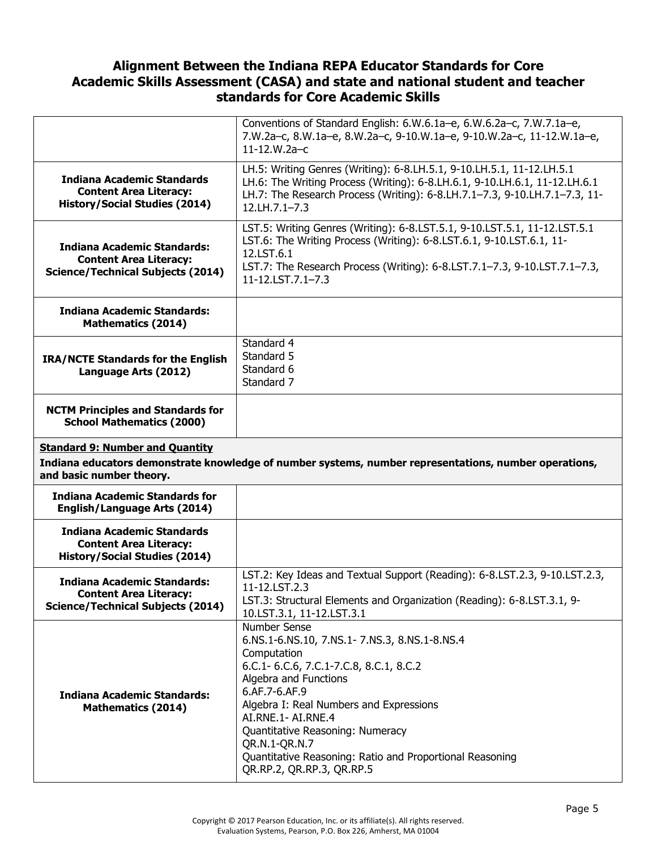|                                                                                                                 | Conventions of Standard English: 6.W.6.1a-e, 6.W.6.2a-c, 7.W.7.1a-e,<br>7.W.2a-c, 8.W.1a-e, 8.W.2a-c, 9-10.W.1a-e, 9-10.W.2a-c, 11-12.W.1a-e,<br>11-12.W.2a-c                                                                                                     |
|-----------------------------------------------------------------------------------------------------------------|-------------------------------------------------------------------------------------------------------------------------------------------------------------------------------------------------------------------------------------------------------------------|
| Indiana Academic Standards<br><b>Content Area Literacy:</b><br><b>History/Social Studies (2014)</b>             | LH.5: Writing Genres (Writing): 6-8.LH.5.1, 9-10.LH.5.1, 11-12.LH.5.1<br>LH.6: The Writing Process (Writing): 6-8.LH.6.1, 9-10.LH.6.1, 11-12.LH.6.1<br>LH.7: The Research Process (Writing): 6-8.LH.7.1-7.3, 9-10.LH.7.1-7.3, 11-<br>12.LH.7.1-7.3                |
| <b>Indiana Academic Standards:</b><br><b>Content Area Literacy:</b><br><b>Science/Technical Subjects (2014)</b> | LST.5: Writing Genres (Writing): 6-8.LST.5.1, 9-10.LST.5.1, 11-12.LST.5.1<br>LST.6: The Writing Process (Writing): 6-8.LST.6.1, 9-10.LST.6.1, 11-<br>12.LST.6.1<br>LST.7: The Research Process (Writing): 6-8.LST.7.1-7.3, 9-10.LST.7.1-7.3,<br>11-12.LST.7.1-7.3 |
| <b>Indiana Academic Standards:</b><br><b>Mathematics (2014)</b>                                                 |                                                                                                                                                                                                                                                                   |
| <b>IRA/NCTE Standards for the English</b><br>Language Arts (2012)                                               | Standard 4<br>Standard 5<br>Standard 6<br>Standard 7                                                                                                                                                                                                              |
|                                                                                                                 |                                                                                                                                                                                                                                                                   |
| <b>NCTM Principles and Standards for</b><br><b>School Mathematics (2000)</b>                                    |                                                                                                                                                                                                                                                                   |
| <b>Standard 9: Number and Quantity</b>                                                                          |                                                                                                                                                                                                                                                                   |
| and basic number theory.                                                                                        | Indiana educators demonstrate knowledge of number systems, number representations, number operations,                                                                                                                                                             |
| <b>Indiana Academic Standards for</b><br><b>English/Language Arts (2014)</b>                                    |                                                                                                                                                                                                                                                                   |
| <b>Indiana Academic Standards</b><br><b>Content Area Literacy:</b><br><b>History/Social Studies (2014)</b>      |                                                                                                                                                                                                                                                                   |
| <b>Indiana Academic Standards:</b><br><b>Content Area Literacy:</b><br><b>Science/Technical Subjects (2014)</b> | LST.2: Key Ideas and Textual Support (Reading): 6-8.LST.2.3, 9-10.LST.2.3,<br>11-12.LST.2.3<br>LST.3: Structural Elements and Organization (Reading): 6-8.LST.3.1, 9-<br>10.LST.3.1, 11-12.LST.3.1                                                                |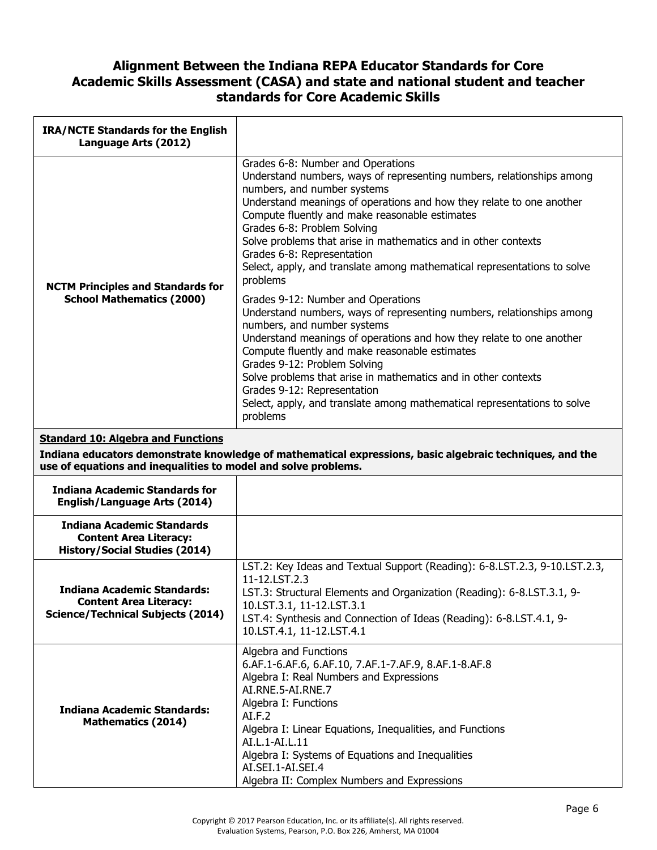| <b>IRA/NCTE Standards for the English</b><br>Language Arts (2012)                                               |                                                                                                                                                                                                                                                                                                                                                                                                                                                                                                                                                                                                                                                                                                                                                                                                                                                                                                                                                                                             |
|-----------------------------------------------------------------------------------------------------------------|---------------------------------------------------------------------------------------------------------------------------------------------------------------------------------------------------------------------------------------------------------------------------------------------------------------------------------------------------------------------------------------------------------------------------------------------------------------------------------------------------------------------------------------------------------------------------------------------------------------------------------------------------------------------------------------------------------------------------------------------------------------------------------------------------------------------------------------------------------------------------------------------------------------------------------------------------------------------------------------------|
| <b>NCTM Principles and Standards for</b><br><b>School Mathematics (2000)</b>                                    | Grades 6-8: Number and Operations<br>Understand numbers, ways of representing numbers, relationships among<br>numbers, and number systems<br>Understand meanings of operations and how they relate to one another<br>Compute fluently and make reasonable estimates<br>Grades 6-8: Problem Solving<br>Solve problems that arise in mathematics and in other contexts<br>Grades 6-8: Representation<br>Select, apply, and translate among mathematical representations to solve<br>problems<br>Grades 9-12: Number and Operations<br>Understand numbers, ways of representing numbers, relationships among<br>numbers, and number systems<br>Understand meanings of operations and how they relate to one another<br>Compute fluently and make reasonable estimates<br>Grades 9-12: Problem Solving<br>Solve problems that arise in mathematics and in other contexts<br>Grades 9-12: Representation<br>Select, apply, and translate among mathematical representations to solve<br>problems |
| <b>Standard 10: Algebra and Functions</b>                                                                       |                                                                                                                                                                                                                                                                                                                                                                                                                                                                                                                                                                                                                                                                                                                                                                                                                                                                                                                                                                                             |
| use of equations and inequalities to model and solve problems.                                                  | Indiana educators demonstrate knowledge of mathematical expressions, basic algebraic techniques, and the                                                                                                                                                                                                                                                                                                                                                                                                                                                                                                                                                                                                                                                                                                                                                                                                                                                                                    |
| <b>Indiana Academic Standards for</b><br><b>English/Language Arts (2014)</b>                                    |                                                                                                                                                                                                                                                                                                                                                                                                                                                                                                                                                                                                                                                                                                                                                                                                                                                                                                                                                                                             |
| <b>Indiana Academic Standards</b><br><b>Content Area Literacy:</b><br><b>History/Social Studies (2014)</b>      |                                                                                                                                                                                                                                                                                                                                                                                                                                                                                                                                                                                                                                                                                                                                                                                                                                                                                                                                                                                             |
| <b>Indiana Academic Standards:</b><br><b>Content Area Literacy:</b><br><b>Science/Technical Subjects (2014)</b> | LST.2: Key Ideas and Textual Support (Reading): 6-8.LST.2.3, 9-10.LST.2.3,<br>11-12.LST.2.3<br>LST.3: Structural Elements and Organization (Reading): 6-8.LST.3.1, 9-<br>10.LST.3.1, 11-12.LST.3.1<br>LST.4: Synthesis and Connection of Ideas (Reading): 6-8.LST.4.1, 9-<br>10.LST.4.1, 11-12.LST.4.1                                                                                                                                                                                                                                                                                                                                                                                                                                                                                                                                                                                                                                                                                      |
| <b>Indiana Academic Standards:</b><br><b>Mathematics (2014)</b>                                                 | Algebra and Functions<br>6.AF.1-6.AF.6, 6.AF.10, 7.AF.1-7.AF.9, 8.AF.1-8.AF.8<br>Algebra I: Real Numbers and Expressions<br>AI.RNE.5-AI.RNE.7<br>Algebra I: Functions<br>AI.F.2<br>Algebra I: Linear Equations, Inequalities, and Functions<br>AI.L.1-AI.L.11<br>Algebra I: Systems of Equations and Inequalities<br>AI.SEI.1-AI.SEI.4<br>Algebra II: Complex Numbers and Expressions                                                                                                                                                                                                                                                                                                                                                                                                                                                                                                                                                                                                       |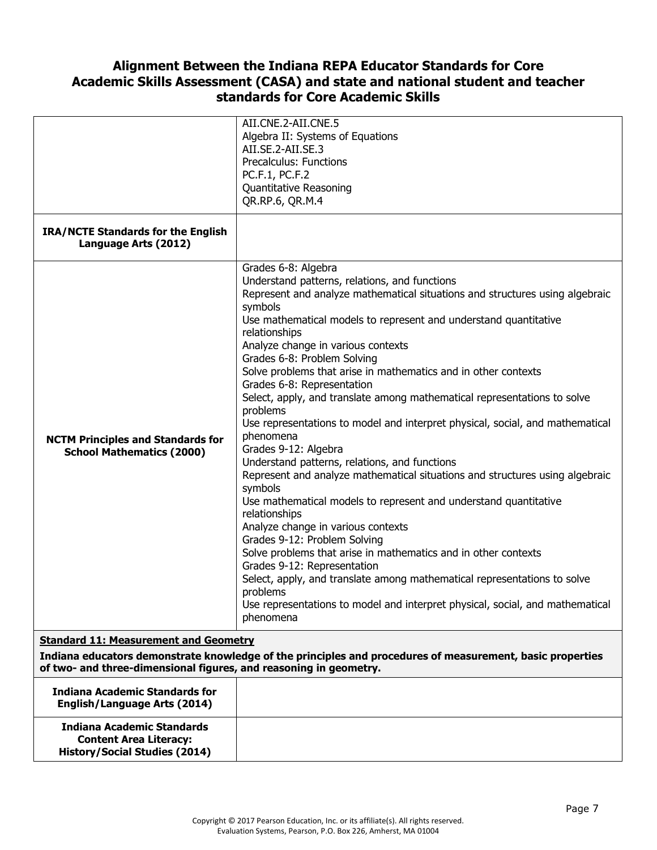| <b>IRA/NCTE Standards for the English</b>                                                                                                                                                                                      | AII.CNE.2-AII.CNE.5<br>Algebra II: Systems of Equations<br>AII.SE.2-AII.SE.3<br>Precalculus: Functions<br>PC.F.1, PC.F.2<br>Quantitative Reasoning<br>QR.RP.6, QR.M.4                                                                                                                                                                                                                                                                                                                                                                                                                                                                                                                                                                                                                                                                                                                                                                                                                                                                                              |
|--------------------------------------------------------------------------------------------------------------------------------------------------------------------------------------------------------------------------------|--------------------------------------------------------------------------------------------------------------------------------------------------------------------------------------------------------------------------------------------------------------------------------------------------------------------------------------------------------------------------------------------------------------------------------------------------------------------------------------------------------------------------------------------------------------------------------------------------------------------------------------------------------------------------------------------------------------------------------------------------------------------------------------------------------------------------------------------------------------------------------------------------------------------------------------------------------------------------------------------------------------------------------------------------------------------|
| Language Arts (2012)                                                                                                                                                                                                           | Grades 6-8: Algebra<br>Understand patterns, relations, and functions<br>Represent and analyze mathematical situations and structures using algebraic<br>symbols                                                                                                                                                                                                                                                                                                                                                                                                                                                                                                                                                                                                                                                                                                                                                                                                                                                                                                    |
| <b>NCTM Principles and Standards for</b><br><b>School Mathematics (2000)</b>                                                                                                                                                   | Use mathematical models to represent and understand quantitative<br>relationships<br>Analyze change in various contexts<br>Grades 6-8: Problem Solving<br>Solve problems that arise in mathematics and in other contexts<br>Grades 6-8: Representation<br>Select, apply, and translate among mathematical representations to solve<br>problems<br>Use representations to model and interpret physical, social, and mathematical<br>phenomena<br>Grades 9-12: Algebra<br>Understand patterns, relations, and functions<br>Represent and analyze mathematical situations and structures using algebraic<br>symbols<br>Use mathematical models to represent and understand quantitative<br>relationships<br>Analyze change in various contexts<br>Grades 9-12: Problem Solving<br>Solve problems that arise in mathematics and in other contexts<br>Grades 9-12: Representation<br>Select, apply, and translate among mathematical representations to solve<br>problems<br>Use representations to model and interpret physical, social, and mathematical<br>phenomena |
| <b>Standard 11: Measurement and Geometry</b><br>Indiana educators demonstrate knowledge of the principles and procedures of measurement, basic properties<br>of two- and three-dimensional figures, and reasoning in geometry. |                                                                                                                                                                                                                                                                                                                                                                                                                                                                                                                                                                                                                                                                                                                                                                                                                                                                                                                                                                                                                                                                    |
| <b>Indiana Academic Standards for</b><br><b>English/Language Arts (2014)</b>                                                                                                                                                   |                                                                                                                                                                                                                                                                                                                                                                                                                                                                                                                                                                                                                                                                                                                                                                                                                                                                                                                                                                                                                                                                    |
| <b>Indiana Academic Standards</b><br><b>Content Area Literacy:</b><br><b>History/Social Studies (2014)</b>                                                                                                                     |                                                                                                                                                                                                                                                                                                                                                                                                                                                                                                                                                                                                                                                                                                                                                                                                                                                                                                                                                                                                                                                                    |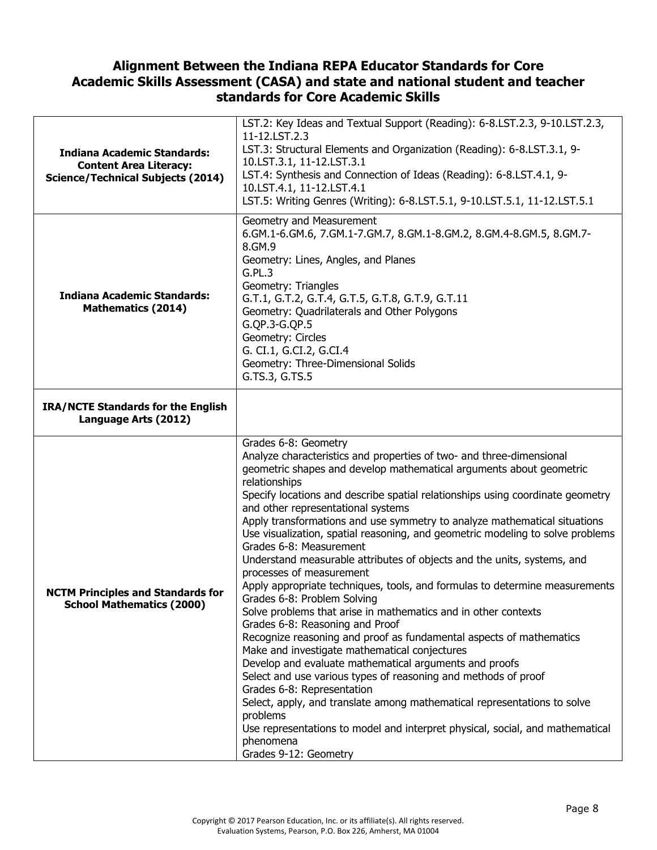| <b>Indiana Academic Standards:</b><br><b>Content Area Literacy:</b><br><b>Science/Technical Subjects (2014)</b> | LST.2: Key Ideas and Textual Support (Reading): 6-8.LST.2.3, 9-10.LST.2.3,<br>11-12.LST.2.3<br>LST.3: Structural Elements and Organization (Reading): 6-8.LST.3.1, 9-<br>10.LST.3.1, 11-12.LST.3.1<br>LST.4: Synthesis and Connection of Ideas (Reading): 6-8.LST.4.1, 9-<br>10.LST.4.1, 11-12.LST.4.1<br>LST.5: Writing Genres (Writing): 6-8.LST.5.1, 9-10.LST.5.1, 11-12.LST.5.1                                                                                                                                                                                                                                                                                                                                                                                                                                                                                                                                                                                                                                                                                                                                                                                                                                                                                                                                               |
|-----------------------------------------------------------------------------------------------------------------|-----------------------------------------------------------------------------------------------------------------------------------------------------------------------------------------------------------------------------------------------------------------------------------------------------------------------------------------------------------------------------------------------------------------------------------------------------------------------------------------------------------------------------------------------------------------------------------------------------------------------------------------------------------------------------------------------------------------------------------------------------------------------------------------------------------------------------------------------------------------------------------------------------------------------------------------------------------------------------------------------------------------------------------------------------------------------------------------------------------------------------------------------------------------------------------------------------------------------------------------------------------------------------------------------------------------------------------|
| <b>Indiana Academic Standards:</b><br><b>Mathematics (2014)</b>                                                 | Geometry and Measurement<br>6.GM.1-6.GM.6, 7.GM.1-7.GM.7, 8.GM.1-8.GM.2, 8.GM.4-8.GM.5, 8.GM.7-<br>8.GM.9<br>Geometry: Lines, Angles, and Planes<br>G.PL.3<br>Geometry: Triangles<br>G.T.1, G.T.2, G.T.4, G.T.5, G.T.8, G.T.9, G.T.11<br>Geometry: Quadrilaterals and Other Polygons<br>G.QP.3-G.QP.5<br>Geometry: Circles<br>G. CI.1, G.CI.2, G.CI.4<br>Geometry: Three-Dimensional Solids<br>G.TS.3, G.TS.5                                                                                                                                                                                                                                                                                                                                                                                                                                                                                                                                                                                                                                                                                                                                                                                                                                                                                                                     |
| <b>IRA/NCTE Standards for the English</b><br>Language Arts (2012)                                               |                                                                                                                                                                                                                                                                                                                                                                                                                                                                                                                                                                                                                                                                                                                                                                                                                                                                                                                                                                                                                                                                                                                                                                                                                                                                                                                                   |
| <b>NCTM Principles and Standards for</b><br><b>School Mathematics (2000)</b>                                    | Grades 6-8: Geometry<br>Analyze characteristics and properties of two- and three-dimensional<br>geometric shapes and develop mathematical arguments about geometric<br>relationships<br>Specify locations and describe spatial relationships using coordinate geometry<br>and other representational systems<br>Apply transformations and use symmetry to analyze mathematical situations<br>Use visualization, spatial reasoning, and geometric modeling to solve problems<br>Grades 6-8: Measurement<br>Understand measurable attributes of objects and the units, systems, and<br>processes of measurement<br>Apply appropriate techniques, tools, and formulas to determine measurements<br>Grades 6-8: Problem Solving<br>Solve problems that arise in mathematics and in other contexts<br>Grades 6-8: Reasoning and Proof<br>Recognize reasoning and proof as fundamental aspects of mathematics<br>Make and investigate mathematical conjectures<br>Develop and evaluate mathematical arguments and proofs<br>Select and use various types of reasoning and methods of proof<br>Grades 6-8: Representation<br>Select, apply, and translate among mathematical representations to solve<br>problems<br>Use representations to model and interpret physical, social, and mathematical<br>phenomena<br>Grades 9-12: Geometry |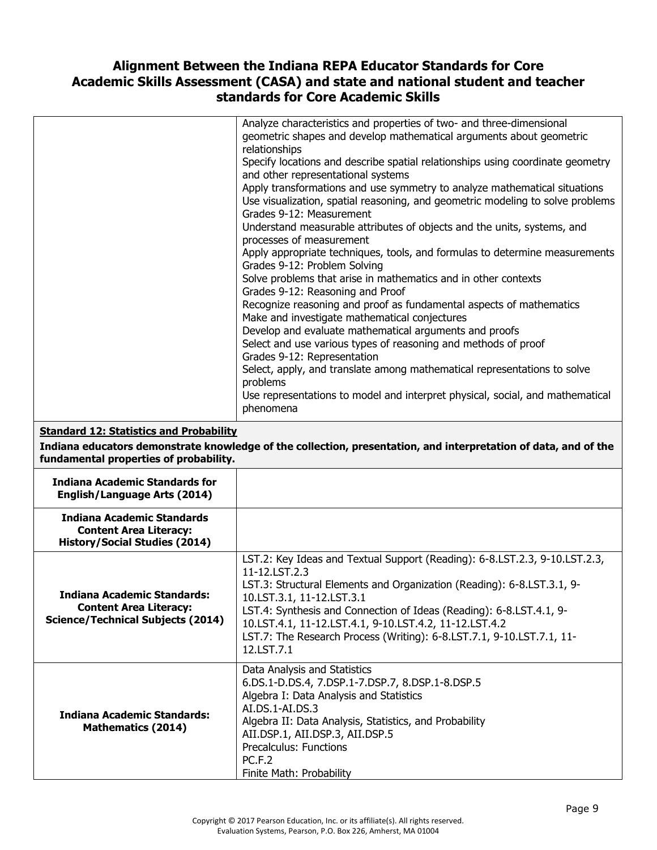|                                                                                                            | Analyze characteristics and properties of two- and three-dimensional<br>geometric shapes and develop mathematical arguments about geometric<br>relationships<br>Specify locations and describe spatial relationships using coordinate geometry<br>and other representational systems<br>Apply transformations and use symmetry to analyze mathematical situations<br>Use visualization, spatial reasoning, and geometric modeling to solve problems<br>Grades 9-12: Measurement<br>Understand measurable attributes of objects and the units, systems, and<br>processes of measurement<br>Apply appropriate techniques, tools, and formulas to determine measurements<br>Grades 9-12: Problem Solving<br>Solve problems that arise in mathematics and in other contexts<br>Grades 9-12: Reasoning and Proof<br>Recognize reasoning and proof as fundamental aspects of mathematics<br>Make and investigate mathematical conjectures<br>Develop and evaluate mathematical arguments and proofs<br>Select and use various types of reasoning and methods of proof |
|------------------------------------------------------------------------------------------------------------|-----------------------------------------------------------------------------------------------------------------------------------------------------------------------------------------------------------------------------------------------------------------------------------------------------------------------------------------------------------------------------------------------------------------------------------------------------------------------------------------------------------------------------------------------------------------------------------------------------------------------------------------------------------------------------------------------------------------------------------------------------------------------------------------------------------------------------------------------------------------------------------------------------------------------------------------------------------------------------------------------------------------------------------------------------------------|
|                                                                                                            | Grades 9-12: Representation<br>Select, apply, and translate among mathematical representations to solve<br>problems<br>Use representations to model and interpret physical, social, and mathematical<br>phenomena                                                                                                                                                                                                                                                                                                                                                                                                                                                                                                                                                                                                                                                                                                                                                                                                                                               |
| <b>Standard 12: Statistics and Probability</b><br>fundamental properties of probability.                   | Indiana educators demonstrate knowledge of the collection, presentation, and interpretation of data, and of the                                                                                                                                                                                                                                                                                                                                                                                                                                                                                                                                                                                                                                                                                                                                                                                                                                                                                                                                                 |
| <b>Indiana Academic Standards for</b><br><b>English/Language Arts (2014)</b>                               |                                                                                                                                                                                                                                                                                                                                                                                                                                                                                                                                                                                                                                                                                                                                                                                                                                                                                                                                                                                                                                                                 |
| <b>Indiana Academic Standards</b><br><b>Content Area Literacy:</b><br><b>History/Social Studies (2014)</b> |                                                                                                                                                                                                                                                                                                                                                                                                                                                                                                                                                                                                                                                                                                                                                                                                                                                                                                                                                                                                                                                                 |
| Indiana Academic Standards:<br><b>Content Area Literacy:</b><br><b>Science/Technical Subjects (2014)</b>   | LST.2: Key Ideas and Textual Support (Reading): 6-8.LST.2.3, 9-10.LST.2.3,<br>11-12.LST.2.3<br>LST.3: Structural Elements and Organization (Reading): 6-8.LST.3.1, 9-<br>10.LST.3.1, 11-12.LST.3.1<br>LST.4: Synthesis and Connection of Ideas (Reading): 6-8.LST.4.1, 9-<br>10.LST.4.1, 11-12.LST.4.1, 9-10.LST.4.2, 11-12.LST.4.2<br>LST.7: The Research Process (Writing): 6-8.LST.7.1, 9-10.LST.7.1, 11-<br>12.LST.7.1                                                                                                                                                                                                                                                                                                                                                                                                                                                                                                                                                                                                                                      |
| <b>Indiana Academic Standards:</b><br><b>Mathematics (2014)</b>                                            | Data Analysis and Statistics<br>6.DS.1-D.DS.4, 7.DSP.1-7.DSP.7, 8.DSP.1-8.DSP.5<br>Algebra I: Data Analysis and Statistics<br>AI.DS.1-AI.DS.3<br>Algebra II: Data Analysis, Statistics, and Probability<br>AII.DSP.1, AII.DSP.3, AII.DSP.5<br>Precalculus: Functions<br><b>PC.F.2</b><br>Finite Math: Probability                                                                                                                                                                                                                                                                                                                                                                                                                                                                                                                                                                                                                                                                                                                                               |